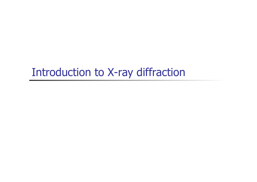# Introduction to X-ray diffraction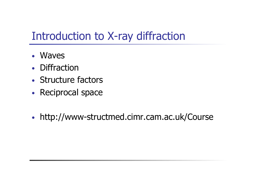# Introduction to X-ray diffraction

- Waves
- Diffraction
- Structure factors
- Reciprocal space
- http://www-structmed.cimr.cam.ac.uk/Course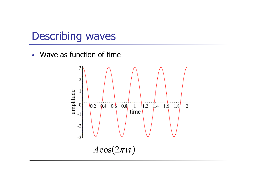### Describing waves

• Wave as function of time

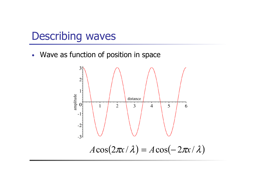### Describing waves

• Wave as function of position in space

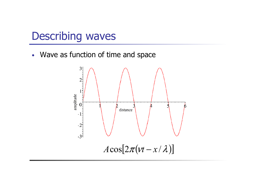### Describing waves

• Wave as function of time and space

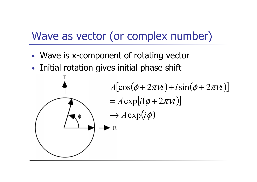# Wave as vector (or complex number)

- Wave is x-component of rotating vector
- Initial rotation gives initial phase shift

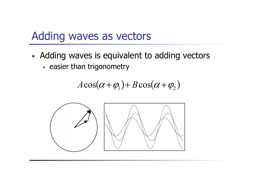### Adding waves as vectors

- Adding waves is equivalent to adding vectors
	- easier than trigonometry

$$
A\cos(\alpha+\varphi_1)+B\cos(\alpha+\varphi_2)
$$

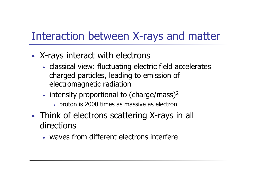# Interaction between X-rays and matter

- X-rays interact with electrons
	- classical view: fluctuating electric field accelerates charged particles, leading to emission of electromagnetic radiation
	- $\cdot$  intensity proportional to (charge/mass)<sup>2</sup>
		- proton is 2000 times as massive as electron
- Think of electrons scattering X-rays in all directions
	- waves from different electrons interfere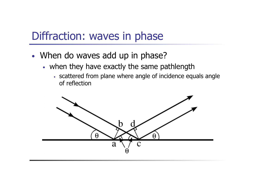### Diffraction: waves in phase

- When do waves add up in phase?
	- when they have exactly the same pathlength
		- scattered from plane where angle of incidence equals angle of reflection

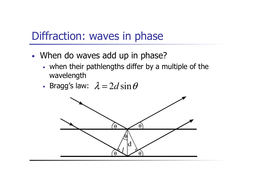### Diffraction: waves in phase

- When do waves add up in phase?
	- when their pathlengths differ by a multiple of the wavelength
	- Bragg's law:  $\lambda = 2d \sin \theta$

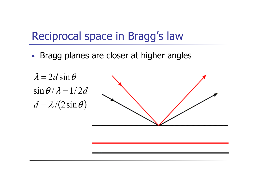## Reciprocal space in Bragg's law

• Bragg planes are closer at higher angles

 $d = \lambda / (2 \sin \theta)$  $\sin \theta / \lambda = 1/2d$  $\lambda = 2d \sin \theta$ 

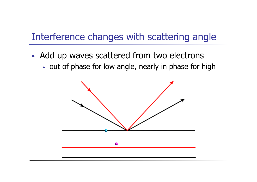#### Interference changes with scattering angle

- Add up waves scattered from two electrons
	- out of phase for low angle, nearly in phase for high

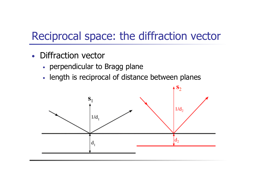# Reciprocal space: the diffraction vector

- Diffraction vector
	- perpendicular to Bragg plane
	- length is reciprocal of distance between planes

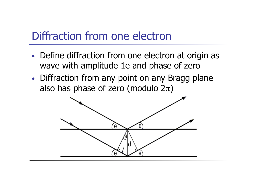## Diffraction from one electron

- Define diffraction from one electron at origin as wave with amplitude 1e and phase of zero
- Diffraction from any point on any Bragg plane also has phase of zero (modulo  $2\pi$ )

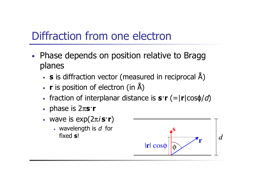# Diffraction from one electron

- Phase depends on position relative to Bragg planes
	- **s** is diffraction vector (measured in reciprocal Å)
	- **r** is position of electron (in Å)
	- fraction of interplanar distance is **s**·**r** (=|**r**|cosϕ/d)
	- phase is 2π**s**·**r**
	- wave is  $exp(2\pi i \mathbf{s} \cdot \mathbf{r})$ 
		- wavelength is  $d$  for fixed **s**!

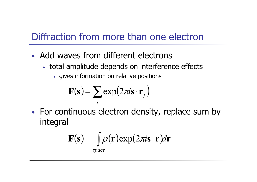#### Diffraction from more than one electron

- Add waves from different electrons
	- total amplitude depends on interference effects
		- gives information on relative positions

$$
\mathbf{F}(\mathbf{s}) = \sum_j \exp(2\pi i \mathbf{s} \cdot \mathbf{r}_j)
$$

• For continuous electron density, replace sum by integral

$$
\mathbf{F(s)} = \int \rho(\mathbf{r}) \exp(2\pi i \mathbf{s} \cdot \mathbf{r}) d\mathbf{r}
$$

*space*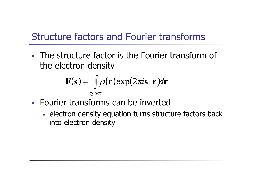#### Structure factors and Fourier transforms

• The structure factor is the Fourier transform of the electron density

$$
\mathbf{F(s)} = \int_{space} \rho(\mathbf{r}) \exp(2\pi i \mathbf{s} \cdot \mathbf{r}) d\mathbf{r}
$$

- Fourier transforms can be inverted
	- electron density equation turns structure factors back into electron density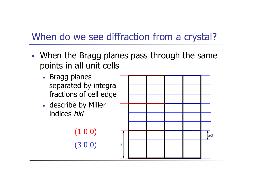#### When do we see diffraction from a crystal?

- When the Bragg planes pass through the same points in all unit cells
	- Bragg planes separated by integral fractions of cell edge
	- describe by Miller indices hkl

(3 0 0) (1 0 0)

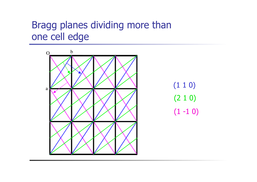#### Bragg planes dividing more than one cell edge

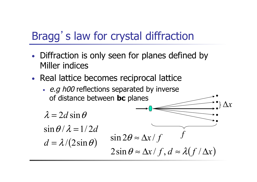# Bragg's law for crystal diffraction

- Diffraction is only seen for planes defined by Miller indices
- Real lattice becomes reciprocal lattice
	- e.g h00 reflections separated by inverse of distance between **bc** planes

$$
\lambda = 2d \sin \theta
$$
  
\n
$$
\sin \theta / \lambda = 1/2d
$$
  
\n
$$
d = \lambda / (2 \sin \theta)
$$
  
\n
$$
\sin \theta \approx \Delta x / f
$$
  
\n
$$
d = \lambda / (2 \sin \theta)
$$
  
\n
$$
\sin \theta \approx \Delta x / f, d \approx \lambda (f / \Delta x)
$$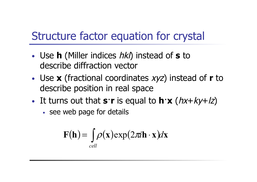# Structure factor equation for crystal

- Use **h** (Miller indices hkl) instead of **s** to describe diffraction vector
- Use **x** (fractional coordinates xyz) instead of **r** to describe position in real space
- It turns out that  $\mathbf{s}\cdot\mathbf{r}$  is equal to  $\mathbf{h}\cdot\mathbf{x}$  ( $hx+ky+/z$ )
	- see web page for details

$$
\mathbf{F}(\mathbf{h}) = \int_{cell} \rho(\mathbf{x}) \exp(2\pi i \mathbf{h} \cdot \mathbf{x}) d\mathbf{x}
$$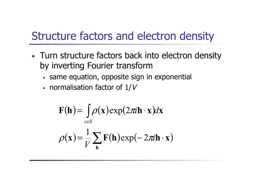# Structure factors and electron density

- Turn structure factors back into electron density by inverting Fourier transform
	- same equation, opposite sign in exponential
	- normalisation factor of  $1/V$

$$
\mathbf{F}(\mathbf{h}) = \int_{cell} \rho(\mathbf{x}) \exp(2\pi i \mathbf{h} \cdot \mathbf{x}) d\mathbf{x}
$$

$$
\rho(\mathbf{x}) = \frac{1}{V} \sum_{\mathbf{h}} \mathbf{F}(\mathbf{h}) \exp(-2\pi i \mathbf{h} \cdot \mathbf{x})
$$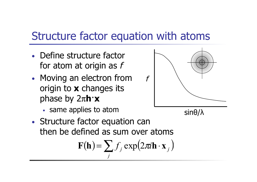## Structure factor equation with atoms

- Define structure factor for atom at origin as f
- Moving an electron from origin to **x** changes its phase by 2π**h**·**x** 
	- same applies to atom
- Structure factor equation can then be defined as sum over atoms

$$
\mathbf{F}(\mathbf{h}) = \sum_{j} f_j \exp(2\pi i \mathbf{h} \cdot \mathbf{x}_j)
$$

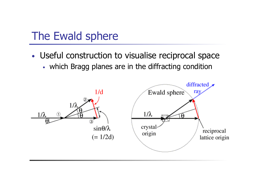# The Ewald sphere

- Useful construction to visualise reciprocal space
	- which Bragg planes are in the diffracting condition

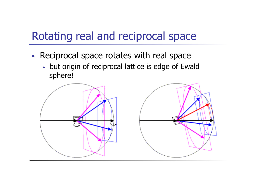# Rotating real and reciprocal space

- Reciprocal space rotates with real space
	- but origin of reciprocal lattice is edge of Ewald sphere!